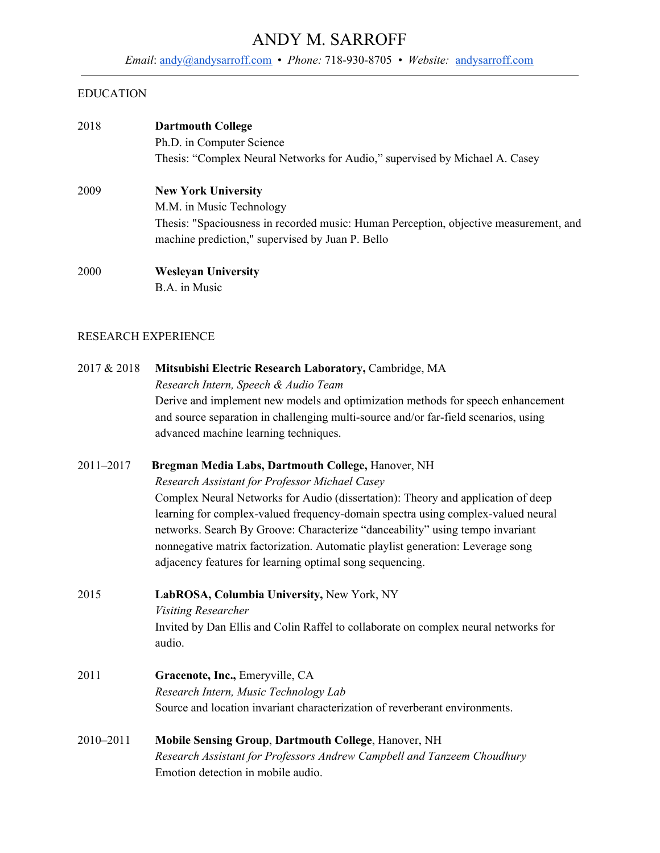# ANDY M. SARROFF

*Email*: [andy@andysarroff.com](mailto:andy@andysarroff.com) • *Phone:* 718-930-8705 *• Website:* [andysarroff.com](https://andysarroff.com/)

#### EDUCATION

| 2018        | <b>Dartmouth College</b><br>Ph.D. in Computer Science<br>Thesis: "Complex Neural Networks for Audio," supervised by Michael A. Casey                                  |
|-------------|-----------------------------------------------------------------------------------------------------------------------------------------------------------------------|
| 2009        | <b>New York University</b>                                                                                                                                            |
|             | M.M. in Music Technology<br>Thesis: "Spaciousness in recorded music: Human Perception, objective measurement, and<br>machine prediction," supervised by Juan P. Bello |
| 2000        | <b>Wesleyan University</b>                                                                                                                                            |
|             | B.A. in Music                                                                                                                                                         |
|             | <b>RESEARCH EXPERIENCE</b>                                                                                                                                            |
| 2017 & 2018 | Mitsubishi Electric Research Laboratory, Cambridge, MA                                                                                                                |
|             | Research Intern, Speech & Audio Team                                                                                                                                  |
|             | Derive and implement new models and optimization methods for speech enhancement                                                                                       |
|             | and source separation in challenging multi-source and/or far-field scenarios, using                                                                                   |
|             | advanced machine learning techniques.                                                                                                                                 |

2011–2017 **Bregman Media Labs, Dartmouth College,** Hanover, NH

*Research Assistant for Professor Michael Casey*

Complex Neural Networks for Audio (dissertation): Theory and application of deep learning for complex-valued frequency-domain spectra using complex-valued neural networks. Search By Groove: Characterize "danceability" using tempo invariant nonnegative matrix factorization. Automatic playlist generation: Leverage song adjacency features for learning optimal song sequencing.

2015 **LabROSA, Columbia University,** New York, NY *Visiting Researcher* Invited by Dan Ellis and Colin Raffel to collaborate on complex neural networks for audio.

## 2011 **Gracenote, Inc.,** Emeryville, CA *Research Intern, Music Technology Lab* Source and location invariant characterization of reverberant environments.

2010–2011 **Mobile Sensing Group**, **Dartmouth College**, Hanover, NH *Research Assistant for Professors Andrew Campbell and Tanzeem Choudhury* Emotion detection in mobile audio.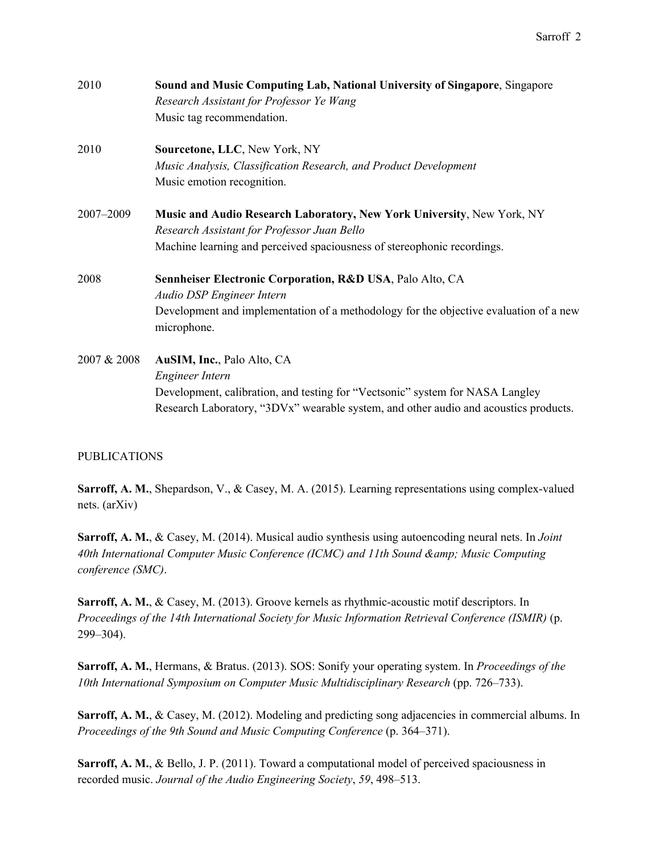| 2010        | <b>Sound and Music Computing Lab, National University of Singapore, Singapore</b><br>Research Assistant for Professor Ye Wang                                         |
|-------------|-----------------------------------------------------------------------------------------------------------------------------------------------------------------------|
|             | Music tag recommendation.                                                                                                                                             |
| 2010        | Sourcetone, LLC, New York, NY                                                                                                                                         |
|             | Music Analysis, Classification Research, and Product Development                                                                                                      |
|             | Music emotion recognition.                                                                                                                                            |
| 2007-2009   | Music and Audio Research Laboratory, New York University, New York, NY                                                                                                |
|             | Research Assistant for Professor Juan Bello                                                                                                                           |
|             | Machine learning and perceived spaciousness of stereophonic recordings.                                                                                               |
| 2008        | Sennheiser Electronic Corporation, R&D USA, Palo Alto, CA                                                                                                             |
|             | <b>Audio DSP Engineer Intern</b>                                                                                                                                      |
|             | Development and implementation of a methodology for the objective evaluation of a new<br>microphone.                                                                  |
| 2007 & 2008 | AuSIM, Inc., Palo Alto, CA                                                                                                                                            |
|             | Engineer Intern                                                                                                                                                       |
|             | Development, calibration, and testing for "Vectsonic" system for NASA Langley<br>Research Laboratory, "3DVx" wearable system, and other audio and acoustics products. |
|             |                                                                                                                                                                       |

#### PUBLICATIONS

**Sarroff, A. M.**, Shepardson, V., & Casey, M. A. (2015). Learning representations using complex-valued nets. (arXiv)

**Sarroff, A. M.**, & Casey, M. (2014). Musical audio synthesis using autoencoding neural nets. In *Joint 40th International Computer Music Conference (ICMC) and 11th Sound & Music Computing conference (SMC)*.

**Sarroff, A. M.**, & Casey, M. (2013). Groove kernels as rhythmic-acoustic motif descriptors. In *Proceedings of the 14th International Society for Music Information Retrieval Conference (ISMIR)* (p. 299–304).

**Sarroff, A. M.**, Hermans, & Bratus. (2013). SOS: Sonify your operating system. In *Proceedings of the 10th International Symposium on Computer Music Multidisciplinary Research* (pp. 726–733).

**Sarroff, A. M.**, & Casey, M. (2012). Modeling and predicting song adjacencies in commercial albums. In *Proceedings of the 9th Sound and Music Computing Conference* (p. 364–371).

**Sarroff, A. M.**, & Bello, J. P. (2011). Toward a computational model of perceived spaciousness in recorded music. *Journal of the Audio Engineering Society*, *59*, 498–513.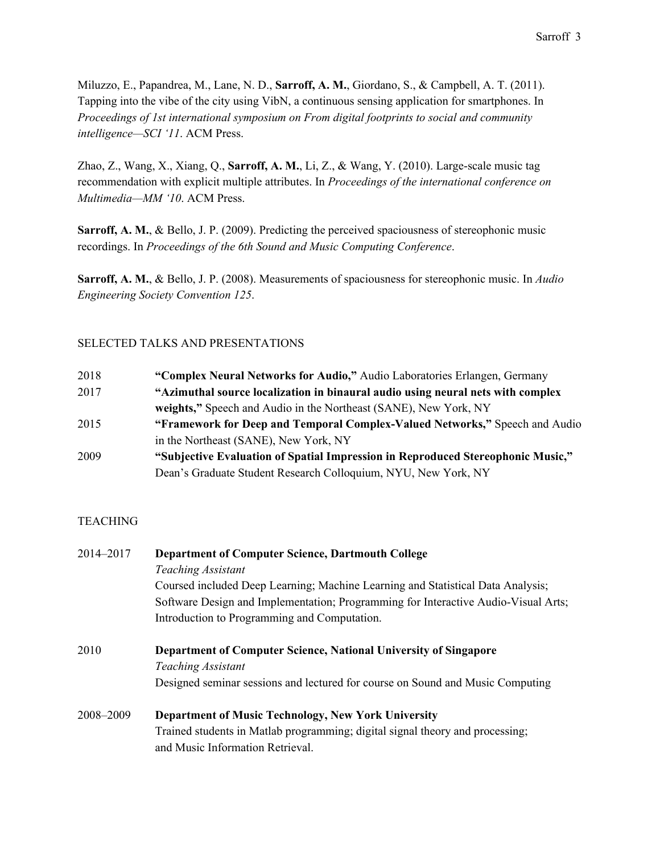Miluzzo, E., Papandrea, M., Lane, N. D., **Sarroff, A. M.**, Giordano, S., & Campbell, A. T. (2011). Tapping into the vibe of the city using VibN, a continuous sensing application for smartphones. In *Proceedings of 1st international symposium on From digital footprints to social and community intelligence—SCI '11*. ACM Press.

Zhao, Z., Wang, X., Xiang, Q., **Sarroff, A. M.**, Li, Z., & Wang, Y. (2010). Large-scale music tag recommendation with explicit multiple attributes. In *Proceedings of the international conference on Multimedia—MM '10*. ACM Press.

**Sarroff, A. M.**, & Bello, J. P. (2009). Predicting the perceived spaciousness of stereophonic music recordings. In *Proceedings of the 6th Sound and Music Computing Conference*.

**Sarroff, A. M.**, & Bello, J. P. (2008). Measurements of spaciousness for stereophonic music. In *Audio Engineering Society Convention 125*.

#### SELECTED TALKS AND PRESENTATIONS

| 2018 | "Complex Neural Networks for Audio," Audio Laboratories Erlangen, Germany       |
|------|---------------------------------------------------------------------------------|
| 2017 | "Azimuthal source localization in binaural audio using neural nets with complex |
|      | weights," Speech and Audio in the Northeast (SANE), New York, NY                |
| 2015 | "Framework for Deep and Temporal Complex-Valued Networks," Speech and Audio     |
|      | in the Northeast (SANE), New York, NY                                           |
| 2009 | "Subjective Evaluation of Spatial Impression in Reproduced Stereophonic Music," |
|      | Dean's Graduate Student Research Colloquium, NYU, New York, NY                  |

#### **TEACHING**

| 2014-2017 | <b>Department of Computer Science, Dartmouth College</b>                           |  |
|-----------|------------------------------------------------------------------------------------|--|
|           | <b>Teaching Assistant</b>                                                          |  |
|           | Coursed included Deep Learning; Machine Learning and Statistical Data Analysis;    |  |
|           | Software Design and Implementation; Programming for Interactive Audio-Visual Arts; |  |
|           | Introduction to Programming and Computation.                                       |  |
| 2010      | Department of Computer Science, National University of Singapore                   |  |
|           | <b>Teaching Assistant</b>                                                          |  |
|           | Designed seminar sessions and lectured for course on Sound and Music Computing     |  |
| 2008-2009 | <b>Department of Music Technology, New York University</b>                         |  |
|           | Trained students in Matlab programming; digital signal theory and processing;      |  |
|           | and Music Information Retrieval.                                                   |  |